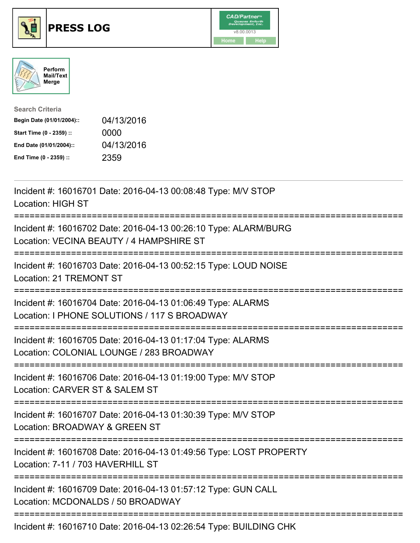





| <b>Search Criteria</b>    |            |
|---------------------------|------------|
| Begin Date (01/01/2004):: | 04/13/2016 |
| Start Time (0 - 2359) ::  | 0000       |
| End Date (01/01/2004)::   | 04/13/2016 |
| End Time (0 - 2359) ::    | 2359       |

| Incident #: 16016701 Date: 2016-04-13 00:08:48 Type: M/V STOP<br><b>Location: HIGH ST</b>                                             |
|---------------------------------------------------------------------------------------------------------------------------------------|
| Incident #: 16016702 Date: 2016-04-13 00:26:10 Type: ALARM/BURG<br>Location: VECINA BEAUTY / 4 HAMPSHIRE ST                           |
| Incident #: 16016703 Date: 2016-04-13 00:52:15 Type: LOUD NOISE<br>Location: 21 TREMONT ST                                            |
| Incident #: 16016704 Date: 2016-04-13 01:06:49 Type: ALARMS<br>Location: I PHONE SOLUTIONS / 117 S BROADWAY                           |
| Incident #: 16016705 Date: 2016-04-13 01:17:04 Type: ALARMS<br>Location: COLONIAL LOUNGE / 283 BROADWAY                               |
| Incident #: 16016706 Date: 2016-04-13 01:19:00 Type: M/V STOP<br>Location: CARVER ST & SALEM ST<br>===============                    |
| Incident #: 16016707 Date: 2016-04-13 01:30:39 Type: M/V STOP<br>Location: BROADWAY & GREEN ST                                        |
| Incident #: 16016708 Date: 2016-04-13 01:49:56 Type: LOST PROPERTY<br>Location: 7-11 / 703 HAVERHILL ST<br>========================== |
| Incident #: 16016709 Date: 2016-04-13 01:57:12 Type: GUN CALL<br>Location: MCDONALDS / 50 BROADWAY                                    |
| Incident #: 16016710 Date: 2016-04-13 02:26:54 Type: BUILDING CHK                                                                     |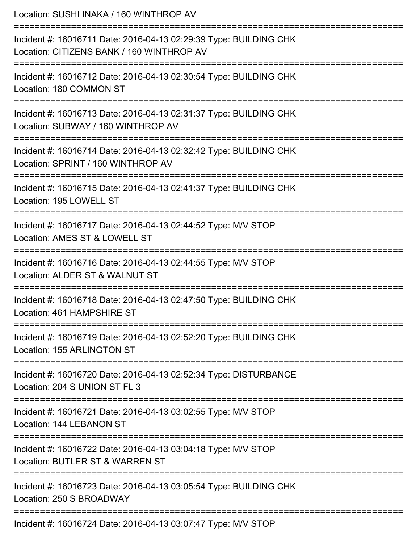| Location: SUSHI INAKA / 160 WINTHROP AV                                                                                                           |
|---------------------------------------------------------------------------------------------------------------------------------------------------|
| Incident #: 16016711 Date: 2016-04-13 02:29:39 Type: BUILDING CHK<br>Location: CITIZENS BANK / 160 WINTHROP AV                                    |
| Incident #: 16016712 Date: 2016-04-13 02:30:54 Type: BUILDING CHK<br>Location: 180 COMMON ST<br>===================================               |
| Incident #: 16016713 Date: 2016-04-13 02:31:37 Type: BUILDING CHK<br>Location: SUBWAY / 160 WINTHROP AV                                           |
| Incident #: 16016714 Date: 2016-04-13 02:32:42 Type: BUILDING CHK<br>Location: SPRINT / 160 WINTHROP AV<br>====================================== |
| Incident #: 16016715 Date: 2016-04-13 02:41:37 Type: BUILDING CHK<br>Location: 195 LOWELL ST                                                      |
| Incident #: 16016717 Date: 2016-04-13 02:44:52 Type: M/V STOP<br>Location: AMES ST & LOWELL ST                                                    |
| Incident #: 16016716 Date: 2016-04-13 02:44:55 Type: M/V STOP<br>Location: ALDER ST & WALNUT ST                                                   |
| Incident #: 16016718 Date: 2016-04-13 02:47:50 Type: BUILDING CHK<br>Location: 461 HAMPSHIRE ST                                                   |
| Incident #: 16016719 Date: 2016-04-13 02:52:20 Type: BUILDING CHK<br>Location: 155 ARLINGTON ST                                                   |
| Incident #: 16016720 Date: 2016-04-13 02:52:34 Type: DISTURBANCE<br>Location: 204 S UNION ST FL 3                                                 |
| Incident #: 16016721 Date: 2016-04-13 03:02:55 Type: M/V STOP<br>Location: 144 LEBANON ST                                                         |
| Incident #: 16016722 Date: 2016-04-13 03:04:18 Type: M/V STOP<br>Location: BUTLER ST & WARREN ST                                                  |
| Incident #: 16016723 Date: 2016-04-13 03:05:54 Type: BUILDING CHK<br>Location: 250 S BROADWAY                                                     |
| $Indient # 40016794$ Dete: 2016 04.12.02:07:47 Tupe: MALCTOD                                                                                      |

Incident #: 16016724 Date: 2016-04-13 03:07:47 Type: M/V STOP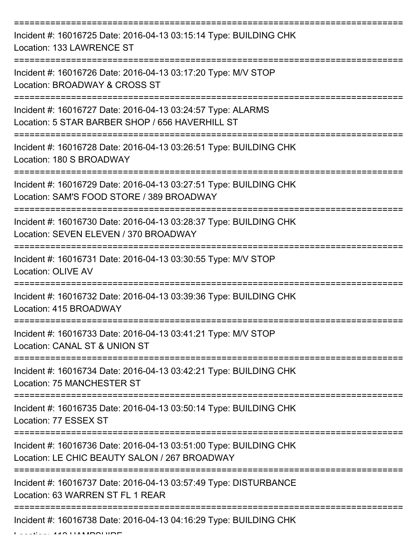| Incident #: 16016725 Date: 2016-04-13 03:15:14 Type: BUILDING CHK<br>Location: 133 LAWRENCE ST                     |
|--------------------------------------------------------------------------------------------------------------------|
| Incident #: 16016726 Date: 2016-04-13 03:17:20 Type: M/V STOP<br>Location: BROADWAY & CROSS ST                     |
| Incident #: 16016727 Date: 2016-04-13 03:24:57 Type: ALARMS<br>Location: 5 STAR BARBER SHOP / 656 HAVERHILL ST     |
| Incident #: 16016728 Date: 2016-04-13 03:26:51 Type: BUILDING CHK<br>Location: 180 S BROADWAY                      |
| Incident #: 16016729 Date: 2016-04-13 03:27:51 Type: BUILDING CHK<br>Location: SAM'S FOOD STORE / 389 BROADWAY     |
| Incident #: 16016730 Date: 2016-04-13 03:28:37 Type: BUILDING CHK<br>Location: SEVEN ELEVEN / 370 BROADWAY         |
| Incident #: 16016731 Date: 2016-04-13 03:30:55 Type: M/V STOP<br>Location: OLIVE AV                                |
| Incident #: 16016732 Date: 2016-04-13 03:39:36 Type: BUILDING CHK<br>Location: 415 BROADWAY                        |
| Incident #: 16016733 Date: 2016-04-13 03:41:21 Type: M/V STOP<br>Location: CANAL ST & UNION ST                     |
| Incident #: 16016734 Date: 2016-04-13 03:42:21 Type: BUILDING CHK<br><b>Location: 75 MANCHESTER ST</b>             |
| Incident #: 16016735 Date: 2016-04-13 03:50:14 Type: BUILDING CHK<br>Location: 77 ESSEX ST                         |
| Incident #: 16016736 Date: 2016-04-13 03:51:00 Type: BUILDING CHK<br>Location: LE CHIC BEAUTY SALON / 267 BROADWAY |
| Incident #: 16016737 Date: 2016-04-13 03:57:49 Type: DISTURBANCE<br>Location: 63 WARREN ST FL 1 REAR               |
| Incident #: 16016738 Date: 2016-04-13 04:16:29 Type: BUILDING CHK                                                  |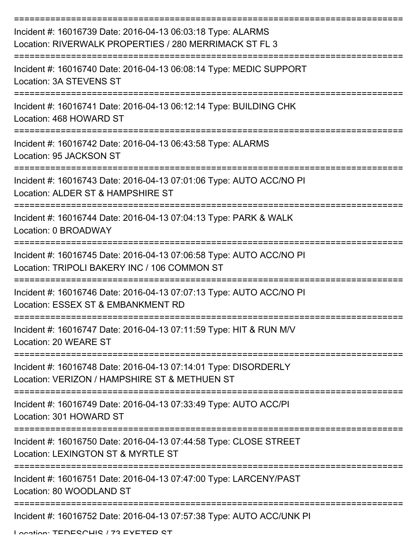| Incident #: 16016739 Date: 2016-04-13 06:03:18 Type: ALARMS<br>Location: RIVERWALK PROPERTIES / 280 MERRIMACK ST FL 3                           |
|-------------------------------------------------------------------------------------------------------------------------------------------------|
| Incident #: 16016740 Date: 2016-04-13 06:08:14 Type: MEDIC SUPPORT<br>Location: 3A STEVENS ST                                                   |
| Incident #: 16016741 Date: 2016-04-13 06:12:14 Type: BUILDING CHK<br>Location: 468 HOWARD ST                                                    |
| Incident #: 16016742 Date: 2016-04-13 06:43:58 Type: ALARMS<br>Location: 95 JACKSON ST                                                          |
| :==================================<br>Incident #: 16016743 Date: 2016-04-13 07:01:06 Type: AUTO ACC/NO PI<br>Location: ALDER ST & HAMPSHIRE ST |
| Incident #: 16016744 Date: 2016-04-13 07:04:13 Type: PARK & WALK<br>Location: 0 BROADWAY                                                        |
| Incident #: 16016745 Date: 2016-04-13 07:06:58 Type: AUTO ACC/NO PI<br>Location: TRIPOLI BAKERY INC / 106 COMMON ST                             |
| Incident #: 16016746 Date: 2016-04-13 07:07:13 Type: AUTO ACC/NO PI<br>Location: ESSEX ST & EMBANKMENT RD                                       |
| Incident #: 16016747 Date: 2016-04-13 07:11:59 Type: HIT & RUN M/V<br>Location: 20 WEARE ST                                                     |
| Incident #: 16016748 Date: 2016-04-13 07:14:01 Type: DISORDERLY<br>Location: VERIZON / HAMPSHIRE ST & METHUEN ST                                |
| Incident #: 16016749 Date: 2016-04-13 07:33:49 Type: AUTO ACC/PI<br>Location: 301 HOWARD ST                                                     |
| Incident #: 16016750 Date: 2016-04-13 07:44:58 Type: CLOSE STREET<br>Location: LEXINGTON ST & MYRTLE ST                                         |
| Incident #: 16016751 Date: 2016-04-13 07:47:00 Type: LARCENY/PAST<br>Location: 80 WOODLAND ST                                                   |
| Incident #: 16016752 Date: 2016-04-13 07:57:38 Type: AUTO ACC/UNK PI                                                                            |

Location: TENESCHIS / 72 EVETED ST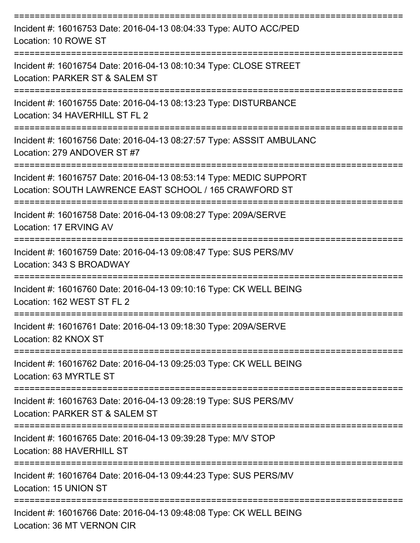| Incident #: 16016753 Date: 2016-04-13 08:04:33 Type: AUTO ACC/PED<br>Location: 10 ROWE ST                                    |
|------------------------------------------------------------------------------------------------------------------------------|
| Incident #: 16016754 Date: 2016-04-13 08:10:34 Type: CLOSE STREET<br>Location: PARKER ST & SALEM ST                          |
| Incident #: 16016755 Date: 2016-04-13 08:13:23 Type: DISTURBANCE<br>Location: 34 HAVERHILL ST FL 2                           |
| Incident #: 16016756 Date: 2016-04-13 08:27:57 Type: ASSSIT AMBULANC<br>Location: 279 ANDOVER ST #7                          |
| Incident #: 16016757 Date: 2016-04-13 08:53:14 Type: MEDIC SUPPORT<br>Location: SOUTH LAWRENCE EAST SCHOOL / 165 CRAWFORD ST |
| Incident #: 16016758 Date: 2016-04-13 09:08:27 Type: 209A/SERVE<br>Location: 17 ERVING AV                                    |
| Incident #: 16016759 Date: 2016-04-13 09:08:47 Type: SUS PERS/MV<br>Location: 343 S BROADWAY                                 |
| Incident #: 16016760 Date: 2016-04-13 09:10:16 Type: CK WELL BEING<br>Location: 162 WEST ST FL 2                             |
| Incident #: 16016761 Date: 2016-04-13 09:18:30 Type: 209A/SERVE<br>Location: 82 KNOX ST                                      |
| Incident #: 16016762 Date: 2016-04-13 09:25:03 Type: CK WELL BEING<br>Location: 63 MYRTLE ST                                 |
| Incident #: 16016763 Date: 2016-04-13 09:28:19 Type: SUS PERS/MV<br>Location: PARKER ST & SALEM ST                           |
| Incident #: 16016765 Date: 2016-04-13 09:39:28 Type: M/V STOP<br>Location: 88 HAVERHILL ST                                   |
| Incident #: 16016764 Date: 2016-04-13 09:44:23 Type: SUS PERS/MV<br>Location: 15 UNION ST                                    |
| Incident #: 16016766 Date: 2016-04-13 09:48:08 Type: CK WELL BEING<br>Location: 36 MT VERNON CIR                             |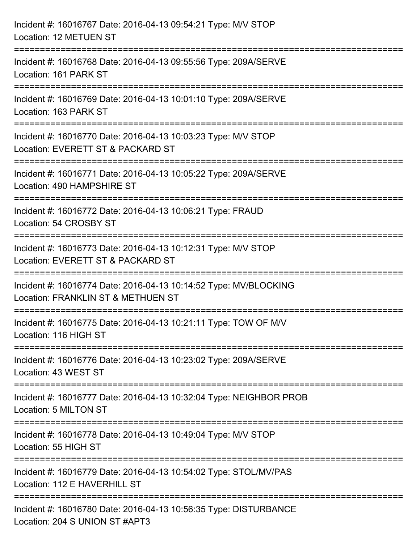| Incident #: 16016767 Date: 2016-04-13 09:54:21 Type: M/V STOP<br>Location: 12 METUEN ST                     |
|-------------------------------------------------------------------------------------------------------------|
| Incident #: 16016768 Date: 2016-04-13 09:55:56 Type: 209A/SERVE<br>Location: 161 PARK ST<br>--------------- |
| Incident #: 16016769 Date: 2016-04-13 10:01:10 Type: 209A/SERVE<br>Location: 163 PARK ST                    |
| Incident #: 16016770 Date: 2016-04-13 10:03:23 Type: M/V STOP<br>Location: EVERETT ST & PACKARD ST          |
| Incident #: 16016771 Date: 2016-04-13 10:05:22 Type: 209A/SERVE<br>Location: 490 HAMPSHIRE ST               |
| Incident #: 16016772 Date: 2016-04-13 10:06:21 Type: FRAUD<br>Location: 54 CROSBY ST                        |
| Incident #: 16016773 Date: 2016-04-13 10:12:31 Type: M/V STOP<br>Location: EVERETT ST & PACKARD ST          |
| Incident #: 16016774 Date: 2016-04-13 10:14:52 Type: MV/BLOCKING<br>Location: FRANKLIN ST & METHUEN ST      |
| Incident #: 16016775 Date: 2016-04-13 10:21:11 Type: TOW OF M/V<br>Location: 116 HIGH ST                    |
| Incident #: 16016776 Date: 2016-04-13 10:23:02 Type: 209A/SERVE<br>Location: 43 WEST ST                     |
| Incident #: 16016777 Date: 2016-04-13 10:32:04 Type: NEIGHBOR PROB<br>Location: 5 MILTON ST                 |
| Incident #: 16016778 Date: 2016-04-13 10:49:04 Type: M/V STOP<br>Location: 55 HIGH ST                       |
| Incident #: 16016779 Date: 2016-04-13 10:54:02 Type: STOL/MV/PAS<br>Location: 112 E HAVERHILL ST            |
| Incident #: 16016780 Date: 2016-04-13 10:56:35 Type: DISTURBANCE<br>Location: 204 S UNION ST #APT3          |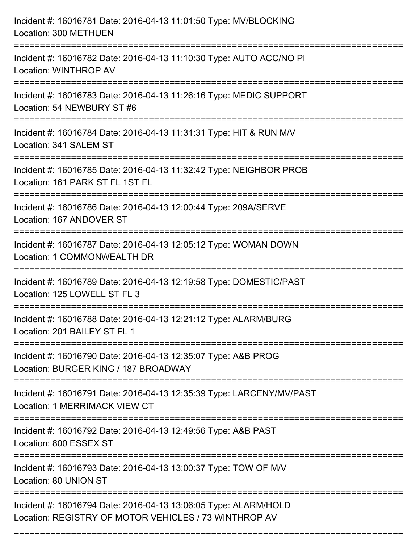| Incident #: 16016781 Date: 2016-04-13 11:01:50 Type: MV/BLOCKING<br>Location: 300 METHUEN                                               |
|-----------------------------------------------------------------------------------------------------------------------------------------|
| Incident #: 16016782 Date: 2016-04-13 11:10:30 Type: AUTO ACC/NO PI<br>Location: WINTHROP AV                                            |
| Incident #: 16016783 Date: 2016-04-13 11:26:16 Type: MEDIC SUPPORT<br>Location: 54 NEWBURY ST #6<br>:================================== |
| Incident #: 16016784 Date: 2016-04-13 11:31:31 Type: HIT & RUN M/V<br>Location: 341 SALEM ST                                            |
| Incident #: 16016785 Date: 2016-04-13 11:32:42 Type: NEIGHBOR PROB<br>Location: 161 PARK ST FL 1ST FL                                   |
| Incident #: 16016786 Date: 2016-04-13 12:00:44 Type: 209A/SERVE<br>Location: 167 ANDOVER ST                                             |
| Incident #: 16016787 Date: 2016-04-13 12:05:12 Type: WOMAN DOWN<br>Location: 1 COMMONWEALTH DR                                          |
| Incident #: 16016789 Date: 2016-04-13 12:19:58 Type: DOMESTIC/PAST<br>Location: 125 LOWELL ST FL 3                                      |
| Incident #: 16016788 Date: 2016-04-13 12:21:12 Type: ALARM/BURG<br>Location: 201 BAILEY ST FL 1                                         |
| Incident #: 16016790 Date: 2016-04-13 12:35:07 Type: A&B PROG<br>Location: BURGER KING / 187 BROADWAY                                   |
| Incident #: 16016791 Date: 2016-04-13 12:35:39 Type: LARCENY/MV/PAST<br>Location: 1 MERRIMACK VIEW CT                                   |
| Incident #: 16016792 Date: 2016-04-13 12:49:56 Type: A&B PAST<br>Location: 800 ESSEX ST                                                 |
| Incident #: 16016793 Date: 2016-04-13 13:00:37 Type: TOW OF M/V<br>Location: 80 UNION ST                                                |
| Incident #: 16016794 Date: 2016-04-13 13:06:05 Type: ALARM/HOLD<br>Location: REGISTRY OF MOTOR VEHICLES / 73 WINTHROP AV                |

===========================================================================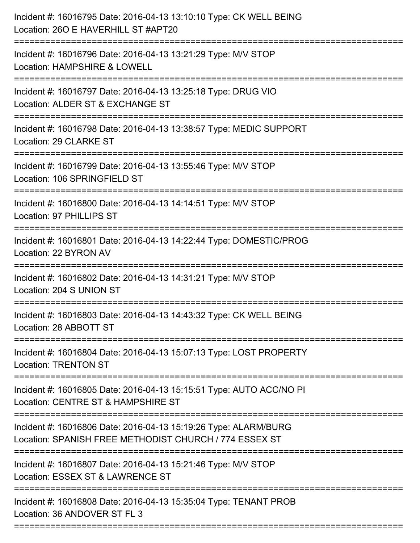| Incident #: 16016795 Date: 2016-04-13 13:10:10 Type: CK WELL BEING<br>Location: 260 E HAVERHILL ST #APT20                           |
|-------------------------------------------------------------------------------------------------------------------------------------|
| Incident #: 16016796 Date: 2016-04-13 13:21:29 Type: M/V STOP<br>Location: HAMPSHIRE & LOWELL                                       |
| Incident #: 16016797 Date: 2016-04-13 13:25:18 Type: DRUG VIO<br>Location: ALDER ST & EXCHANGE ST<br>============================== |
| Incident #: 16016798 Date: 2016-04-13 13:38:57 Type: MEDIC SUPPORT<br>Location: 29 CLARKE ST                                        |
| Incident #: 16016799 Date: 2016-04-13 13:55:46 Type: M/V STOP<br>Location: 106 SPRINGFIELD ST                                       |
| Incident #: 16016800 Date: 2016-04-13 14:14:51 Type: M/V STOP<br>Location: 97 PHILLIPS ST                                           |
| Incident #: 16016801 Date: 2016-04-13 14:22:44 Type: DOMESTIC/PROG<br>Location: 22 BYRON AV                                         |
| Incident #: 16016802 Date: 2016-04-13 14:31:21 Type: M/V STOP<br>Location: 204 S UNION ST                                           |
| Incident #: 16016803 Date: 2016-04-13 14:43:32 Type: CK WELL BEING<br>Location: 28 ABBOTT ST                                        |
| Incident #: 16016804 Date: 2016-04-13 15:07:13 Type: LOST PROPERTY<br><b>Location: TRENTON ST</b>                                   |
| Incident #: 16016805 Date: 2016-04-13 15:15:51 Type: AUTO ACC/NO PI<br>Location: CENTRE ST & HAMPSHIRE ST                           |
| Incident #: 16016806 Date: 2016-04-13 15:19:26 Type: ALARM/BURG<br>Location: SPANISH FREE METHODIST CHURCH / 774 ESSEX ST           |
| Incident #: 16016807 Date: 2016-04-13 15:21:46 Type: M/V STOP<br>Location: ESSEX ST & LAWRENCE ST                                   |
| Incident #: 16016808 Date: 2016-04-13 15:35:04 Type: TENANT PROB<br>Location: 36 ANDOVER ST FL 3                                    |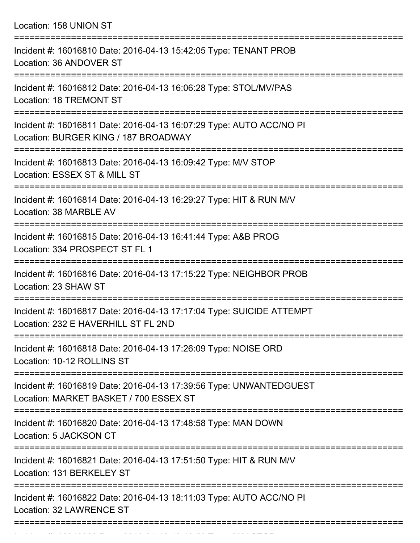Location: 158 UNION ST

| Incident #: 16016810 Date: 2016-04-13 15:42:05 Type: TENANT PROB<br>Location: 36 ANDOVER ST                                          |
|--------------------------------------------------------------------------------------------------------------------------------------|
| Incident #: 16016812 Date: 2016-04-13 16:06:28 Type: STOL/MV/PAS<br>Location: 18 TREMONT ST                                          |
| Incident #: 16016811 Date: 2016-04-13 16:07:29 Type: AUTO ACC/NO PI<br>Location: BURGER KING / 187 BROADWAY                          |
| Incident #: 16016813 Date: 2016-04-13 16:09:42 Type: M/V STOP<br>Location: ESSEX ST & MILL ST                                        |
| Incident #: 16016814 Date: 2016-04-13 16:29:27 Type: HIT & RUN M/V<br>Location: 38 MARBLE AV<br>=================                    |
| Incident #: 16016815 Date: 2016-04-13 16:41:44 Type: A&B PROG<br>Location: 334 PROSPECT ST FL 1                                      |
| Incident #: 16016816 Date: 2016-04-13 17:15:22 Type: NEIGHBOR PROB<br>Location: 23 SHAW ST                                           |
| Incident #: 16016817 Date: 2016-04-13 17:17:04 Type: SUICIDE ATTEMPT<br>Location: 232 E HAVERHILL ST FL 2ND                          |
| Incident #: 16016818 Date: 2016-04-13 17:26:09 Type: NOISE ORD<br>Location: 10-12 ROLLINS ST                                         |
| ====================<br>Incident #: 16016819 Date: 2016-04-13 17:39:56 Type: UNWANTEDGUEST<br>Location: MARKET BASKET / 700 ESSEX ST |
| Incident #: 16016820 Date: 2016-04-13 17:48:58 Type: MAN DOWN<br>Location: 5 JACKSON CT                                              |
| ================================<br>Incident #: 16016821 Date: 2016-04-13 17:51:50 Type: HIT & RUN M/V<br>Location: 131 BERKELEY ST  |
| Incident #: 16016822 Date: 2016-04-13 18:11:03 Type: AUTO ACC/NO PI<br>Location: 32 LAWRENCE ST                                      |
|                                                                                                                                      |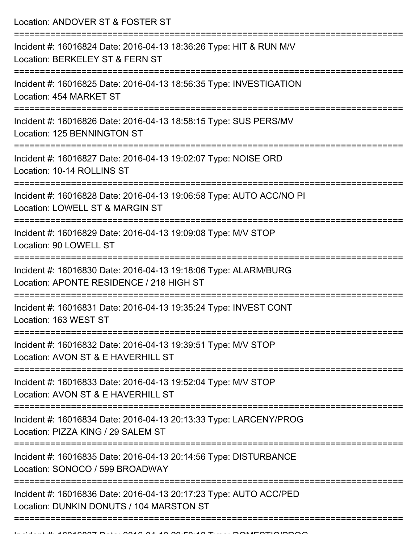Location: ANDOVER ST & FOSTER ST =========================================================================== Incident #: 16016824 Date: 2016-04-13 18:36:26 Type: HIT & RUN M/V Location: BERKELEY ST & FERN ST =========================================================================== Incident #: 16016825 Date: 2016-04-13 18:56:35 Type: INVESTIGATION Location: 454 MARKET ST =========================================================================== Incident #: 16016826 Date: 2016-04-13 18:58:15 Type: SUS PERS/MV Location: 125 BENNINGTON ST =========================================================================== Incident #: 16016827 Date: 2016-04-13 19:02:07 Type: NOISE ORD Location: 10-14 ROLLINS ST =========================================================================== Incident #: 16016828 Date: 2016-04-13 19:06:58 Type: AUTO ACC/NO PI Location: LOWELL ST & MARGIN ST =========================================================================== Incident #: 16016829 Date: 2016-04-13 19:09:08 Type: M/V STOP Location: 90 LOWELL ST =========================================================================== Incident #: 16016830 Date: 2016-04-13 19:18:06 Type: ALARM/BURG Location: APONTE RESIDENCE / 218 HIGH ST =========================================================================== Incident #: 16016831 Date: 2016-04-13 19:35:24 Type: INVEST CONT Location: 163 WEST ST =========================================================================== Incident #: 16016832 Date: 2016-04-13 19:39:51 Type: M/V STOP Location: AVON ST & E HAVERHILL ST =========================================================================== Incident #: 16016833 Date: 2016-04-13 19:52:04 Type: M/V STOP Location: AVON ST & F HAVERHILL ST =========================================================================== Incident #: 16016834 Date: 2016-04-13 20:13:33 Type: LARCENY/PROG Location: PIZZA KING / 29 SALEM ST =========================================================================== Incident #: 16016835 Date: 2016-04-13 20:14:56 Type: DISTURBANCE Location: SONOCO / 599 BROADWAY =========================================================================== Incident #: 16016836 Date: 2016-04-13 20:17:23 Type: AUTO ACC/PED Location: DUNKIN DONUTS / 104 MARSTON ST

===========================================================================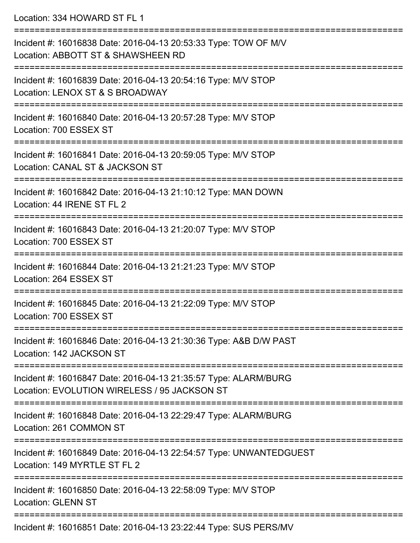| Location: 334 HOWARD ST FL 1                                                                                                              |
|-------------------------------------------------------------------------------------------------------------------------------------------|
| Incident #: 16016838 Date: 2016-04-13 20:53:33 Type: TOW OF M/V<br>Location: ABBOTT ST & SHAWSHEEN RD<br>================================ |
| Incident #: 16016839 Date: 2016-04-13 20:54:16 Type: M/V STOP<br>Location: LENOX ST & S BROADWAY                                          |
| Incident #: 16016840 Date: 2016-04-13 20:57:28 Type: M/V STOP<br>Location: 700 ESSEX ST<br>============================                   |
| Incident #: 16016841 Date: 2016-04-13 20:59:05 Type: M/V STOP<br>Location: CANAL ST & JACKSON ST                                          |
| Incident #: 16016842 Date: 2016-04-13 21:10:12 Type: MAN DOWN<br>Location: 44 IRENE ST FL 2                                               |
| Incident #: 16016843 Date: 2016-04-13 21:20:07 Type: M/V STOP<br>Location: 700 ESSEX ST                                                   |
| Incident #: 16016844 Date: 2016-04-13 21:21:23 Type: M/V STOP<br>Location: 264 ESSEX ST                                                   |
| Incident #: 16016845 Date: 2016-04-13 21:22:09 Type: M/V STOP<br>Location: 700 ESSEX ST                                                   |
| Incident #: 16016846 Date: 2016-04-13 21:30:36 Type: A&B D/W PAST<br>Location: 142 JACKSON ST                                             |
| Incident #: 16016847 Date: 2016-04-13 21:35:57 Type: ALARM/BURG<br>Location: EVOLUTION WIRELESS / 95 JACKSON ST                           |
| Incident #: 16016848 Date: 2016-04-13 22:29:47 Type: ALARM/BURG<br>Location: 261 COMMON ST                                                |
| Incident #: 16016849 Date: 2016-04-13 22:54:57 Type: UNWANTEDGUEST<br>Location: 149 MYRTLE ST FL 2                                        |
| Incident #: 16016850 Date: 2016-04-13 22:58:09 Type: M/V STOP<br><b>Location: GLENN ST</b>                                                |
| Incident #: 16016051 Deta: 2016 04:42 23:22:44 Tune: CLIC DEDCANI                                                                         |

Incident #: 16016851 Date: 2016-04-13 23:22:44 Type: SUS PERS/MV